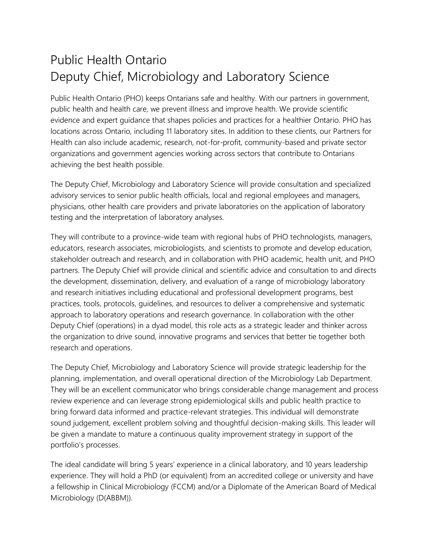## Public Health Ontario Deputy Chief, Microbiology and Laboratory Science

Public Health Ontario (PHO) keeps Ontarians safe and healthy. With our partners in government, public health and health care, we prevent illness and improve health. We provide scientific evidence and expert guidance that shapes policies and practices for a healthier Ontario. PHO has locations across Ontario, including 11 laboratory sites. In addition to these clients, our Partners for Health can also include academic, research, not-for-profit, community-based and private sector organizations and government agencies working across sectors that contribute to Ontarians achieving the best health possible.

The Deputy Chief, Microbiology and Laboratory Science will provide consultation and specialized advisory services to senior public health officials, local and regional employees and managers, physicians, other health care providers and private laboratories on the application of laboratory testing and the interpretation of laboratory analyses.

They will contribute to a province-wide team with regional hubs of PHO technologists, managers, educators, research associates, microbiologists, and scientists to promote and develop education, stakeholder outreach and research, and in collaboration with PHO academic, health unit, and PHO partners. The Deputy Chief will provide clinical and scientific advice and consultation to and directs the development, dissemination, delivery, and evaluation of a range of microbiology laboratory and research initiatives including educational and professional development programs, best practices, tools, protocols, guidelines, and resources to deliver a comprehensive and systematic approach to laboratory operations and research governance. In collaboration with the other Deputy Chief (operations) in a dyad model, this role acts as a strategic leader and thinker across the organization to drive sound, innovative programs and services that better tie together both research and operations.

The Deputy Chief, Microbiology and Laboratory Science will provide strategic leadership for the planning, implementation, and overall operational direction of the Microbiology Lab Department. They will be an excellent communicator who brings considerable change management and process review experience and can leverage strong epidemiological skills and public health practice to bring forward data informed and practice-relevant strategies. This individual will demonstrate sound judgement, excellent problem solving and thoughtful decision-making skills. This leader will be given a mandate to mature a continuous quality improvement strategy in support of the portfolio's processes.

The ideal candidate will bring 5 years' experience in a clinical laboratory, and 10 years leadership experience. They will hold a PhD (or equivalent) from an accredited college or university and have a fellowship in Clinical Microbiology (FCCM) and/or a Diplomate of the American Board of Medical Microbiology (D(ABBM)).